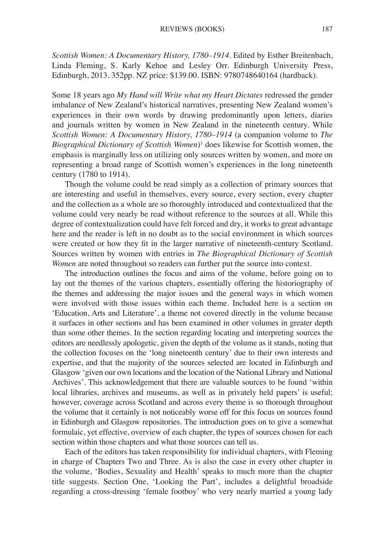*Scottish Women: A Documentary History, 1780–1914*. Edited by Esther Breitenbach, Linda Fleming, S. Karly Kehoe and Lesley Orr. Edinburgh University Press, Edinburgh, 2013. 352pp. NZ price: \$139.00. ISBN: 9780748640164 (hardback).

Some 18 years ago *My Hand will Write what my Heart Dictates* redressed the gender imbalance of New Zealand's historical narratives, presenting New Zealand women's experiences in their own words by drawing predominantly upon letters, diaries and journals written by women in New Zealand in the nineteenth century. While *Scottish Women: A Documentary History, 1780–1914* (a companion volume to *The Biographical Dictionary of Scottish Women*)1 does likewise for Scottish women, the emphasis is marginally less on utilizing only sources written by women, and more on representing a broad range of Scottish women's experiences in the long nineteenth century (1780 to 1914).

Though the volume could be read simply as a collection of primary sources that are interesting and useful in themselves, every source, every section, every chapter and the collection as a whole are so thoroughly introduced and contextualized that the volume could very nearly be read without reference to the sources at all. While this degree of contextualization could have felt forced and dry, it works to great advantage here and the reader is left in no doubt as to the social environment in which sources were created or how they fit in the larger narrative of nineteenth-century Scotland. Sources written by women with entries in *The Biographical Dictionary of Scottish Women* are noted throughout so readers can further put the source into context.

The introduction outlines the focus and aims of the volume, before going on to lay out the themes of the various chapters, essentially offering the historiography of the themes and addressing the major issues and the general ways in which women were involved with those issues within each theme. Included here is a section on 'Education, Arts and Literature', a theme not covered directly in the volume because it surfaces in other sections and has been examined in other volumes in greater depth than some other themes. In the section regarding locating and interpreting sources the editors are needlessly apologetic, given the depth of the volume as it stands, noting that the collection focuses on the 'long nineteenth century' due to their own interests and expertise, and that the majority of the sources selected are located in Edinburgh and Glasgow 'given our own locations and the location of the National Library and National Archives'. This acknowledgement that there are valuable sources to be found 'within local libraries, archives and museums, as well as in privately held papers' is useful; however, coverage across Scotland and across every theme is so thorough throughout the volume that it certainly is not noticeably worse off for this focus on sources found in Edinburgh and Glasgow repositories. The introduction goes on to give a somewhat formulaic, yet effective, overview of each chapter, the types of sources chosen for each section within those chapters and what those sources can tell us.

Each of the editors has taken responsibility for individual chapters, with Fleming in charge of Chapters Two and Three. As is also the case in every other chapter in the volume, 'Bodies, Sexuality and Health' speaks to much more than the chapter title suggests. Section One, 'Looking the Part', includes a delightful broadside regarding a cross-dressing 'female footboy' who very nearly married a young lady